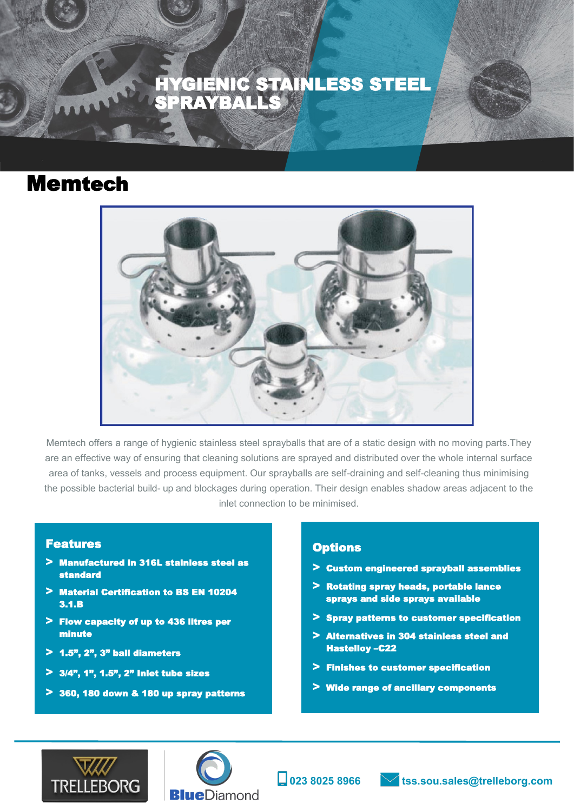**TECHNICAL INFORMATION SPRAYBALLS** METAL CASE & SPRING MATERIAL METAL CASE & SPRING MATERIAL CASE HYGIENIC STAINLESS STEEL **SPRAYBALLS** 

## Memtech

ì



Memtech offers a range of hygienic stainless steel sprayballs that are of a static design with no moving parts.They are an effective way of ensuring that cleaning solutions are sprayed and distributed over the whole internal surface area of tanks, vessels and process equipment. Our sprayballs are self-draining and self-cleaning thus minimising the possible bacterial build- up and blockages during operation. Their design enables shadow areas adjacent to the inlet connection to be minimised.

#### Features

- **>** Manufactured in 316L stainless steel as standard
- **>** Material Certification to BS EN 10204 3.1.B
- **>** Flow capacity of up to 436 litres per minute
- **>** 1.5", 2", 3" ball diameters
- **>** 3/4", 1", 1.5", 2" Inlet tube sizes
- **>** 360, 180 down & 180 up spray patterns

#### **Options**

- **>** Custom engineered sprayball assemblies
- **>** Rotating spray heads, portable lance sprays and side sprays available
- **>** Spray patterns to customer specification
- **>** Alternatives in 304 stainless steel and Hastelloy –C22
- **>** Finishes to customer specification
- **>** Wide range of ancillary components